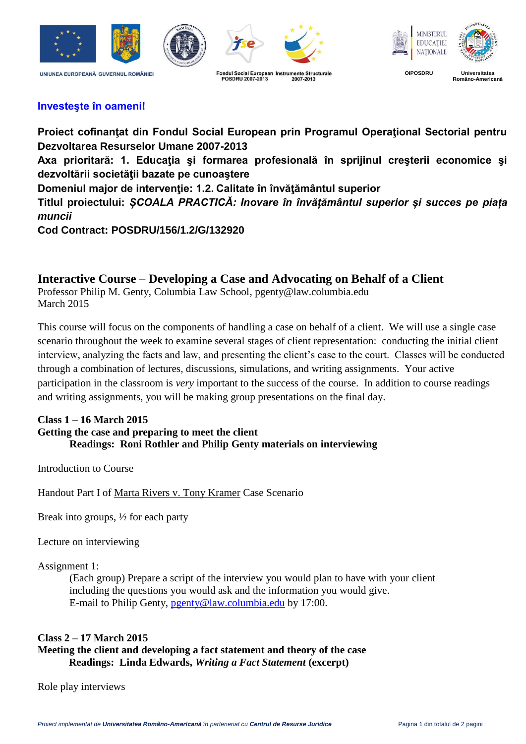



**POSDRU 2007-2013** 



**OIPOSDRU Universitatea Româno-Americană**

# **Investeşte în oameni!**

**Proiect cofinanţat din Fondul Social European prin Programul Operaţional Sectorial pentru Dezvoltarea Resurselor Umane 2007-2013** Axa prioritară: 1. Educația și formarea profesională în spriiinul cresterii economice și **dezvoltării societăţii bazate pe cunoaştere Domeniul major de intervenţie: 1.2. Calitate în învăţământul superior Titlul proiectului:** *ȘCOALA PRACTICĂ: Inovare în învățământul superior și succes pe piața muncii* **Cod Contract: POSDRU/156/1.2/G/132920**

2007-2013

# **Interactive Course – Developing a Case and Advocating on Behalf of a Client**

Professor Philip M. Genty, Columbia Law School, pgenty@law.columbia.edu March 2015

This course will focus on the components of handling a case on behalf of a client. We will use a single case scenario throughout the week to examine several stages of client representation: conducting the initial client interview, analyzing the facts and law, and presenting the client's case to the court. Classes will be conducted through a combination of lectures, discussions, simulations, and writing assignments. Your active participation in the classroom is *very* important to the success of the course. In addition to course readings and writing assignments, you will be making group presentations on the final day.

#### **Class 1 – 16 March 2015 Getting the case and preparing to meet the client Readings: Roni Rothler and Philip Genty materials on interviewing**

Introduction to Course

Handout Part I of Marta Rivers v. Tony Kramer Case Scenario

Break into groups,  $\frac{1}{2}$  for each party

Lecture on interviewing

Assignment 1:

(Each group) Prepare a script of the interview you would plan to have with your client including the questions you would ask and the information you would give. E-mail to Philip Genty, [pgenty@law.columbia.edu](mailto:pgenty@law.columbia.edu) by 17:00.

## **Class 2 – 17 March 2015 Meeting the client and developing a fact statement and theory of the case Readings: Linda Edwards,** *Writing a Fact Statement* **(excerpt)**

Role play interviews